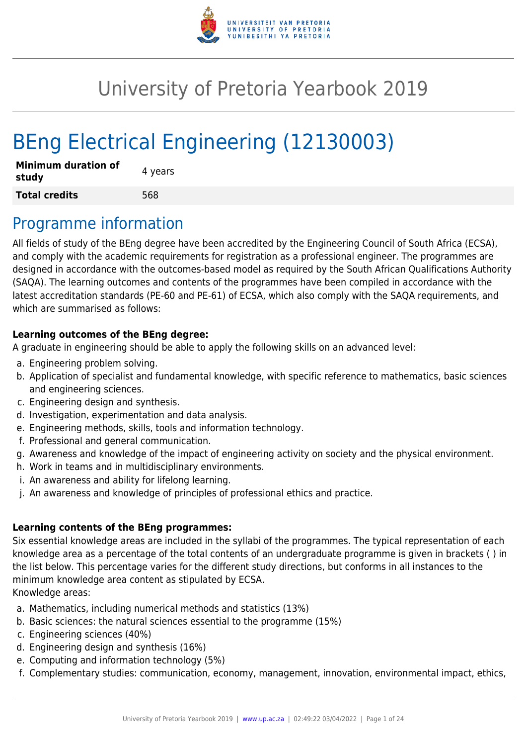

# University of Pretoria Yearbook 2019

# BEng Electrical Engineering (12130003)

| <b>Minimum duration of</b><br>study | 4 years |
|-------------------------------------|---------|
| <b>Total credits</b>                | 568     |

## Programme information

All fields of study of the BEng degree have been accredited by the Engineering Council of South Africa (ECSA), and comply with the academic requirements for registration as a professional engineer. The programmes are designed in accordance with the outcomes-based model as required by the South African Qualifications Authority (SAQA). The learning outcomes and contents of the programmes have been compiled in accordance with the latest accreditation standards (PE-60 and PE-61) of ECSA, which also comply with the SAQA requirements, and which are summarised as follows:

#### **Learning outcomes of the BEng degree:**

A graduate in engineering should be able to apply the following skills on an advanced level:

- a. Engineering problem solving.
- b. Application of specialist and fundamental knowledge, with specific reference to mathematics, basic sciences and engineering sciences.
- c. Engineering design and synthesis.
- d. Investigation, experimentation and data analysis.
- e. Engineering methods, skills, tools and information technology.
- f. Professional and general communication.
- g. Awareness and knowledge of the impact of engineering activity on society and the physical environment.
- h. Work in teams and in multidisciplinary environments.
- i. An awareness and ability for lifelong learning.
- j. An awareness and knowledge of principles of professional ethics and practice.

#### **Learning contents of the BEng programmes:**

Six essential knowledge areas are included in the syllabi of the programmes. The typical representation of each knowledge area as a percentage of the total contents of an undergraduate programme is given in brackets ( ) in the list below. This percentage varies for the different study directions, but conforms in all instances to the minimum knowledge area content as stipulated by ECSA. Knowledge areas:

- a. Mathematics, including numerical methods and statistics (13%)
- b. Basic sciences: the natural sciences essential to the programme (15%)
- c. Engineering sciences (40%)
- d. Engineering design and synthesis (16%)
- e. Computing and information technology (5%)
- f. Complementary studies: communication, economy, management, innovation, environmental impact, ethics,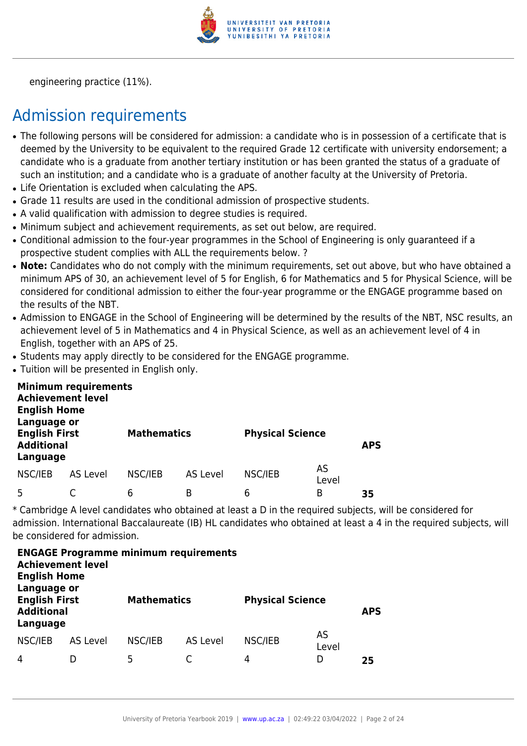

engineering practice (11%).

# Admission requirements

- The following persons will be considered for admission: a candidate who is in possession of a certificate that is deemed by the University to be equivalent to the required Grade 12 certificate with university endorsement; a candidate who is a graduate from another tertiary institution or has been granted the status of a graduate of such an institution; and a candidate who is a graduate of another faculty at the University of Pretoria.
- Life Orientation is excluded when calculating the APS.
- Grade 11 results are used in the conditional admission of prospective students.
- A valid qualification with admission to degree studies is required.
- Minimum subject and achievement requirements, as set out below, are required.
- Conditional admission to the four-year programmes in the School of Engineering is only guaranteed if a prospective student complies with ALL the requirements below. ?
- Note: Candidates who do not comply with the minimum requirements, set out above, but who have obtained a minimum APS of 30, an achievement level of 5 for English, 6 for Mathematics and 5 for Physical Science, will be considered for conditional admission to either the four-year programme or the ENGAGE programme based on the results of the NBT.
- Admission to ENGAGE in the School of Engineering will be determined by the results of the NBT. NSC results, an achievement level of 5 in Mathematics and 4 in Physical Science, as well as an achievement level of 4 in English, together with an APS of 25.
- Students may apply directly to be considered for the ENGAGE programme.
- Tuition will be presented in English only.

| <b>English Home</b><br>Language or                    | <b>Minimum requirements</b><br><b>Achievement level</b> |                    |          |                         |             |            |
|-------------------------------------------------------|---------------------------------------------------------|--------------------|----------|-------------------------|-------------|------------|
| <b>English First</b><br><b>Additional</b><br>Language |                                                         | <b>Mathematics</b> |          | <b>Physical Science</b> |             | <b>APS</b> |
| NSC/IEB                                               | AS Level                                                | NSC/IEB            | AS Level | NSC/IEB                 | AS<br>Level |            |
| 5                                                     |                                                         | 6                  | B        | 6                       | B           | 35         |

\* Cambridge A level candidates who obtained at least a D in the required subjects, will be considered for admission. International Baccalaureate (IB) HL candidates who obtained at least a 4 in the required subjects, will be considered for admission.

| <b>Achievement level</b><br><b>English Home</b><br>Language or |          | <b>ENGAGE Programme minimum requirements</b> |          |                         |             |            |
|----------------------------------------------------------------|----------|----------------------------------------------|----------|-------------------------|-------------|------------|
| <b>English First</b><br><b>Additional</b><br>Language          |          | <b>Mathematics</b>                           |          | <b>Physical Science</b> |             | <b>APS</b> |
| NSC/IEB                                                        | AS Level | NSC/IEB                                      | AS Level | NSC/IEB                 | AS<br>Level |            |
| 4                                                              |          | 5                                            |          | 4                       | D           | 25         |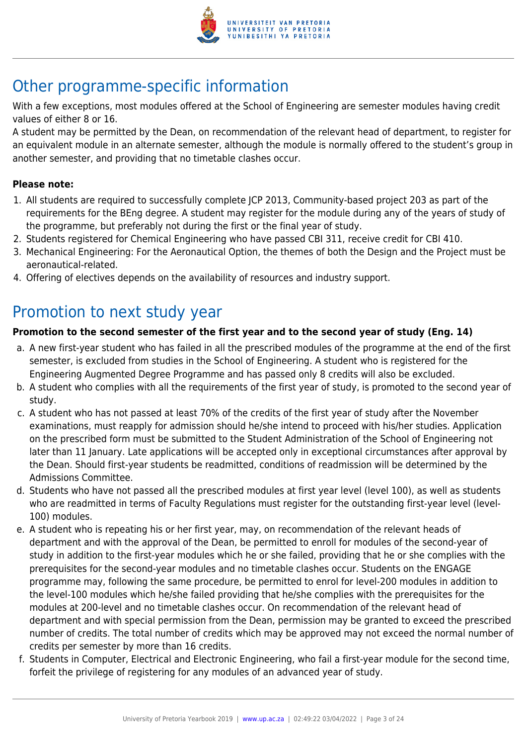

# Other programme-specific information

With a few exceptions, most modules offered at the School of Engineering are semester modules having credit values of either 8 or 16.

A student may be permitted by the Dean, on recommendation of the relevant head of department, to register for an equivalent module in an alternate semester, although the module is normally offered to the student's group in another semester, and providing that no timetable clashes occur.

#### **Please note:**

- 1. All students are required to successfully complete JCP 2013, Community-based project 203 as part of the requirements for the BEng degree. A student may register for the module during any of the years of study of the programme, but preferably not during the first or the final year of study.
- 2. Students registered for Chemical Engineering who have passed CBI 311, receive credit for CBI 410.
- 3. Mechanical Engineering: For the Aeronautical Option, the themes of both the Design and the Project must be aeronautical-related.
- 4. Offering of electives depends on the availability of resources and industry support.

# Promotion to next study year

#### **Promotion to the second semester of the first year and to the second year of study (Eng. 14)**

- a. A new first-year student who has failed in all the prescribed modules of the programme at the end of the first semester, is excluded from studies in the School of Engineering. A student who is registered for the Engineering Augmented Degree Programme and has passed only 8 credits will also be excluded.
- b. A student who complies with all the requirements of the first year of study, is promoted to the second year of study.
- c. A student who has not passed at least 70% of the credits of the first year of study after the November examinations, must reapply for admission should he/she intend to proceed with his/her studies. Application on the prescribed form must be submitted to the Student Administration of the School of Engineering not later than 11 January. Late applications will be accepted only in exceptional circumstances after approval by the Dean. Should first-year students be readmitted, conditions of readmission will be determined by the Admissions Committee.
- d. Students who have not passed all the prescribed modules at first year level (level 100), as well as students who are readmitted in terms of Faculty Regulations must register for the outstanding first-year level (level-100) modules.
- e. A student who is repeating his or her first year, may, on recommendation of the relevant heads of department and with the approval of the Dean, be permitted to enroll for modules of the second-year of study in addition to the first-year modules which he or she failed, providing that he or she complies with the prerequisites for the second-year modules and no timetable clashes occur. Students on the ENGAGE programme may, following the same procedure, be permitted to enrol for level-200 modules in addition to the level-100 modules which he/she failed providing that he/she complies with the prerequisites for the modules at 200-level and no timetable clashes occur. On recommendation of the relevant head of department and with special permission from the Dean, permission may be granted to exceed the prescribed number of credits. The total number of credits which may be approved may not exceed the normal number of credits per semester by more than 16 credits.
- f. Students in Computer, Electrical and Electronic Engineering, who fail a first-year module for the second time, forfeit the privilege of registering for any modules of an advanced year of study.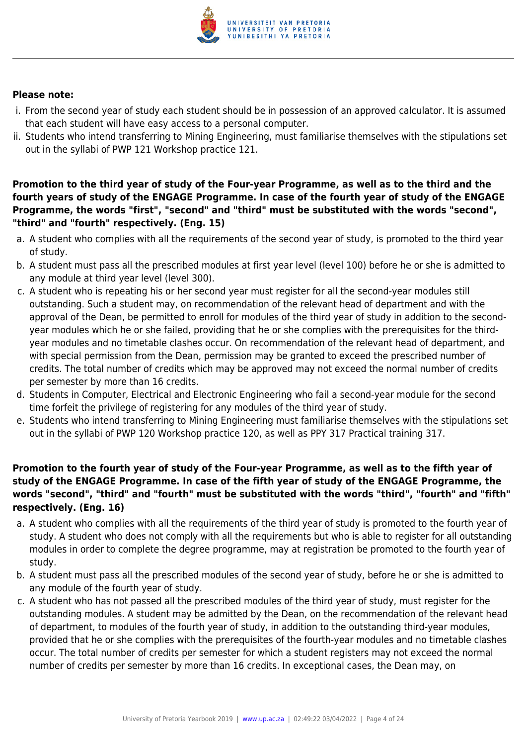

#### **Please note:**

- i. From the second year of study each student should be in possession of an approved calculator. It is assumed that each student will have easy access to a personal computer.
- ii. Students who intend transferring to Mining Engineering, must familiarise themselves with the stipulations set out in the syllabi of PWP 121 Workshop practice 121.

**Promotion to the third year of study of the Four-year Programme, as well as to the third and the fourth years of study of the ENGAGE Programme. In case of the fourth year of study of the ENGAGE Programme, the words "first", "second" and "third" must be substituted with the words "second", "third" and "fourth" respectively. (Eng. 15)**

- a. A student who complies with all the requirements of the second year of study, is promoted to the third year of study.
- b. A student must pass all the prescribed modules at first year level (level 100) before he or she is admitted to any module at third year level (level 300).
- c. A student who is repeating his or her second year must register for all the second-year modules still outstanding. Such a student may, on recommendation of the relevant head of department and with the approval of the Dean, be permitted to enroll for modules of the third year of study in addition to the secondyear modules which he or she failed, providing that he or she complies with the prerequisites for the thirdyear modules and no timetable clashes occur. On recommendation of the relevant head of department, and with special permission from the Dean, permission may be granted to exceed the prescribed number of credits. The total number of credits which may be approved may not exceed the normal number of credits per semester by more than 16 credits.
- d. Students in Computer, Electrical and Electronic Engineering who fail a second-year module for the second time forfeit the privilege of registering for any modules of the third year of study.
- e. Students who intend transferring to Mining Engineering must familiarise themselves with the stipulations set out in the syllabi of PWP 120 Workshop practice 120, as well as PPY 317 Practical training 317.

#### **Promotion to the fourth year of study of the Four-year Programme, as well as to the fifth year of study of the ENGAGE Programme. In case of the fifth year of study of the ENGAGE Programme, the words "second", "third" and "fourth" must be substituted with the words "third", "fourth" and "fifth" respectively. (Eng. 16)**

- a. A student who complies with all the requirements of the third year of study is promoted to the fourth year of study. A student who does not comply with all the requirements but who is able to register for all outstanding modules in order to complete the degree programme, may at registration be promoted to the fourth year of study.
- b. A student must pass all the prescribed modules of the second year of study, before he or she is admitted to any module of the fourth year of study.
- c. A student who has not passed all the prescribed modules of the third year of study, must register for the outstanding modules. A student may be admitted by the Dean, on the recommendation of the relevant head of department, to modules of the fourth year of study, in addition to the outstanding third-year modules, provided that he or she complies with the prerequisites of the fourth-year modules and no timetable clashes occur. The total number of credits per semester for which a student registers may not exceed the normal number of credits per semester by more than 16 credits. In exceptional cases, the Dean may, on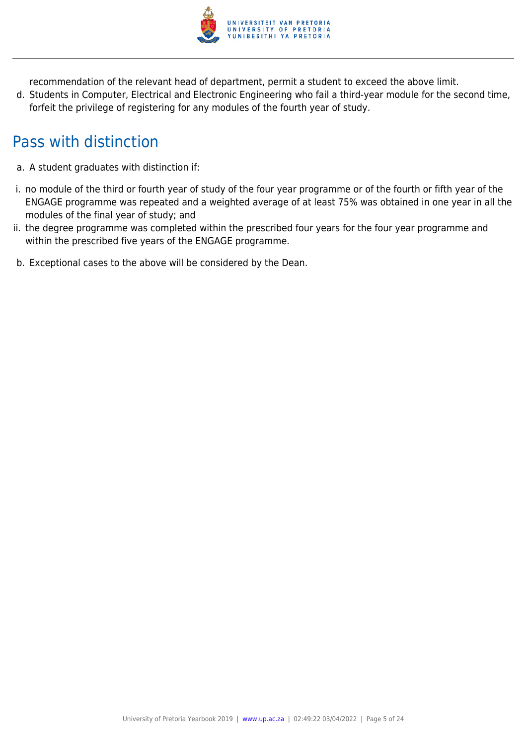

recommendation of the relevant head of department, permit a student to exceed the above limit.

d. Students in Computer, Electrical and Electronic Engineering who fail a third-year module for the second time, forfeit the privilege of registering for any modules of the fourth year of study.

# Pass with distinction

- a. A student graduates with distinction if:
- i. no module of the third or fourth year of study of the four year programme or of the fourth or fifth year of the ENGAGE programme was repeated and a weighted average of at least 75% was obtained in one year in all the modules of the final year of study; and
- ii. the degree programme was completed within the prescribed four years for the four year programme and within the prescribed five years of the ENGAGE programme.
- b. Exceptional cases to the above will be considered by the Dean.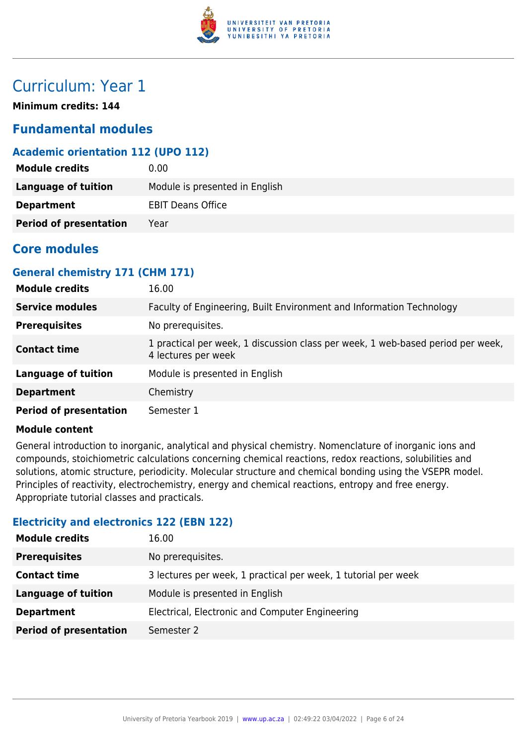

## Curriculum: Year 1

**Minimum credits: 144**

### **Fundamental modules**

#### **Academic orientation 112 (UPO 112)**

| <b>Module credits</b>         | 0.00                           |
|-------------------------------|--------------------------------|
| Language of tuition           | Module is presented in English |
| <b>Department</b>             | <b>EBIT Deans Office</b>       |
| <b>Period of presentation</b> | Year                           |

### **Core modules**

#### **General chemistry 171 (CHM 171)**

| <b>Module credits</b>         | 16.00                                                                                                  |
|-------------------------------|--------------------------------------------------------------------------------------------------------|
| <b>Service modules</b>        | Faculty of Engineering, Built Environment and Information Technology                                   |
| <b>Prerequisites</b>          | No prerequisites.                                                                                      |
| <b>Contact time</b>           | 1 practical per week, 1 discussion class per week, 1 web-based period per week,<br>4 lectures per week |
| <b>Language of tuition</b>    | Module is presented in English                                                                         |
| <b>Department</b>             | Chemistry                                                                                              |
| <b>Period of presentation</b> | Semester 1                                                                                             |

#### **Module content**

General introduction to inorganic, analytical and physical chemistry. Nomenclature of inorganic ions and compounds, stoichiometric calculations concerning chemical reactions, redox reactions, solubilities and solutions, atomic structure, periodicity. Molecular structure and chemical bonding using the VSEPR model. Principles of reactivity, electrochemistry, energy and chemical reactions, entropy and free energy. Appropriate tutorial classes and practicals.

#### **Electricity and electronics 122 (EBN 122)**

| <b>Module credits</b>         | 16.00                                                          |
|-------------------------------|----------------------------------------------------------------|
| <b>Prerequisites</b>          | No prerequisites.                                              |
| <b>Contact time</b>           | 3 lectures per week, 1 practical per week, 1 tutorial per week |
| <b>Language of tuition</b>    | Module is presented in English                                 |
| <b>Department</b>             | Electrical, Electronic and Computer Engineering                |
| <b>Period of presentation</b> | Semester 2                                                     |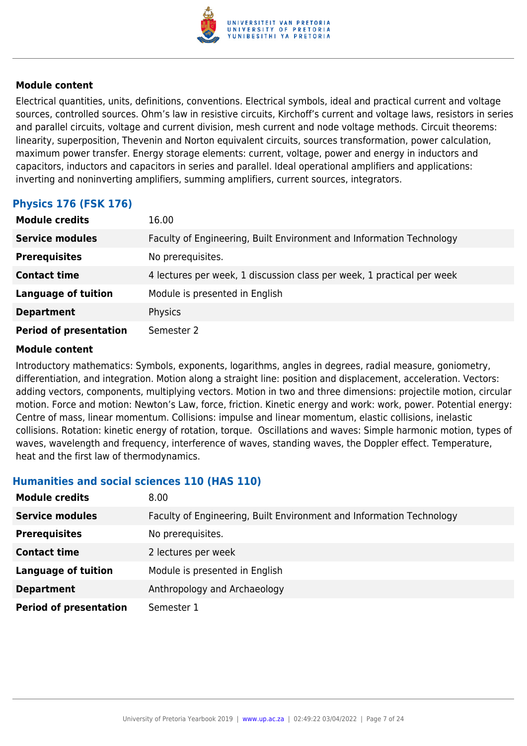

Electrical quantities, units, definitions, conventions. Electrical symbols, ideal and practical current and voltage sources, controlled sources. Ohm's law in resistive circuits, Kirchoff's current and voltage laws, resistors in series and parallel circuits, voltage and current division, mesh current and node voltage methods. Circuit theorems: linearity, superposition, Thevenin and Norton equivalent circuits, sources transformation, power calculation, maximum power transfer. Energy storage elements: current, voltage, power and energy in inductors and capacitors, inductors and capacitors in series and parallel. Ideal operational amplifiers and applications: inverting and noninverting amplifiers, summing amplifiers, current sources, integrators.

#### **Physics 176 (FSK 176)**

| <b>Module credits</b>         | 16.00                                                                  |
|-------------------------------|------------------------------------------------------------------------|
| <b>Service modules</b>        | Faculty of Engineering, Built Environment and Information Technology   |
| <b>Prerequisites</b>          | No prerequisites.                                                      |
| <b>Contact time</b>           | 4 lectures per week, 1 discussion class per week, 1 practical per week |
| <b>Language of tuition</b>    | Module is presented in English                                         |
| <b>Department</b>             | Physics                                                                |
| <b>Period of presentation</b> | Semester 2                                                             |

#### **Module content**

Introductory mathematics: Symbols, exponents, logarithms, angles in degrees, radial measure, goniometry, differentiation, and integration. Motion along a straight line: position and displacement, acceleration. Vectors: adding vectors, components, multiplying vectors. Motion in two and three dimensions: projectile motion, circular motion. Force and motion: Newton's Law, force, friction. Kinetic energy and work: work, power. Potential energy: Centre of mass, linear momentum. Collisions: impulse and linear momentum, elastic collisions, inelastic collisions. Rotation: kinetic energy of rotation, torque. Oscillations and waves: Simple harmonic motion, types of waves, wavelength and frequency, interference of waves, standing waves, the Doppler effect. Temperature, heat and the first law of thermodynamics.

#### **Humanities and social sciences 110 (HAS 110)**

| <b>Module credits</b>         | 8.00                                                                 |
|-------------------------------|----------------------------------------------------------------------|
| <b>Service modules</b>        | Faculty of Engineering, Built Environment and Information Technology |
| <b>Prerequisites</b>          | No prerequisites.                                                    |
| <b>Contact time</b>           | 2 lectures per week                                                  |
| <b>Language of tuition</b>    | Module is presented in English                                       |
| <b>Department</b>             | Anthropology and Archaeology                                         |
| <b>Period of presentation</b> | Semester 1                                                           |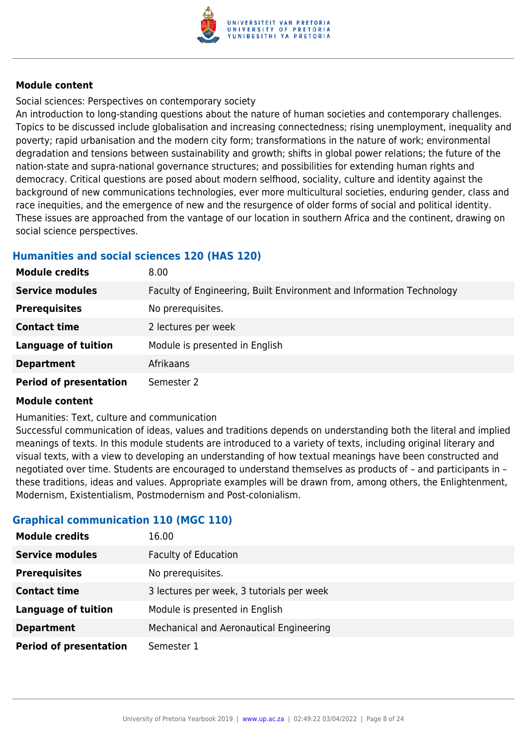

Social sciences: Perspectives on contemporary society

An introduction to long-standing questions about the nature of human societies and contemporary challenges. Topics to be discussed include globalisation and increasing connectedness; rising unemployment, inequality and poverty; rapid urbanisation and the modern city form; transformations in the nature of work; environmental degradation and tensions between sustainability and growth; shifts in global power relations; the future of the nation-state and supra-national governance structures; and possibilities for extending human rights and democracy. Critical questions are posed about modern selfhood, sociality, culture and identity against the background of new communications technologies, ever more multicultural societies, enduring gender, class and race inequities, and the emergence of new and the resurgence of older forms of social and political identity. These issues are approached from the vantage of our location in southern Africa and the continent, drawing on social science perspectives.

#### **Humanities and social sciences 120 (HAS 120)**

| <b>Module credits</b>         | 8.00                                                                 |
|-------------------------------|----------------------------------------------------------------------|
| <b>Service modules</b>        | Faculty of Engineering, Built Environment and Information Technology |
| <b>Prerequisites</b>          | No prerequisites.                                                    |
| <b>Contact time</b>           | 2 lectures per week                                                  |
| <b>Language of tuition</b>    | Module is presented in English                                       |
| <b>Department</b>             | Afrikaans                                                            |
| <b>Period of presentation</b> | Semester 2                                                           |

#### **Module content**

Humanities: Text, culture and communication

Successful communication of ideas, values and traditions depends on understanding both the literal and implied meanings of texts. In this module students are introduced to a variety of texts, including original literary and visual texts, with a view to developing an understanding of how textual meanings have been constructed and negotiated over time. Students are encouraged to understand themselves as products of – and participants in – these traditions, ideas and values. Appropriate examples will be drawn from, among others, the Enlightenment, Modernism, Existentialism, Postmodernism and Post-colonialism.

#### **Graphical communication 110 (MGC 110)**

| <b>Module credits</b>         | 16.00                                     |
|-------------------------------|-------------------------------------------|
| <b>Service modules</b>        | <b>Faculty of Education</b>               |
| <b>Prerequisites</b>          | No prerequisites.                         |
| <b>Contact time</b>           | 3 lectures per week, 3 tutorials per week |
| <b>Language of tuition</b>    | Module is presented in English            |
| <b>Department</b>             | Mechanical and Aeronautical Engineering   |
| <b>Period of presentation</b> | Semester 1                                |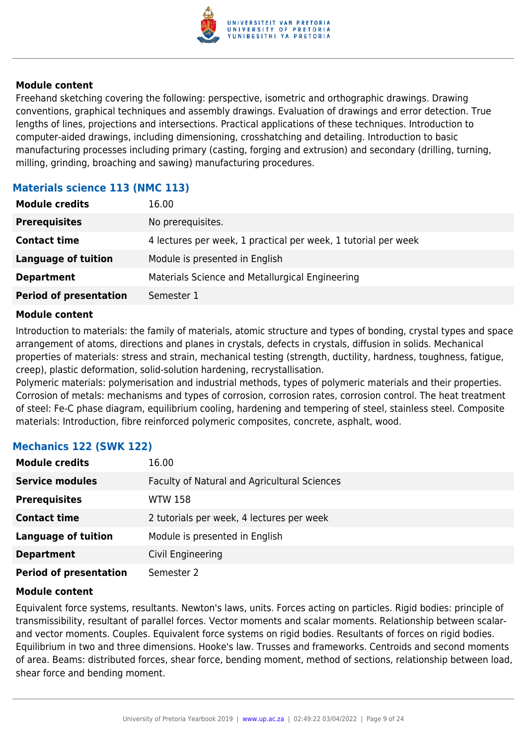

Freehand sketching covering the following: perspective, isometric and orthographic drawings. Drawing conventions, graphical techniques and assembly drawings. Evaluation of drawings and error detection. True lengths of lines, projections and intersections. Practical applications of these techniques. Introduction to computer-aided drawings, including dimensioning, crosshatching and detailing. Introduction to basic manufacturing processes including primary (casting, forging and extrusion) and secondary (drilling, turning, milling, grinding, broaching and sawing) manufacturing procedures.

#### **Materials science 113 (NMC 113)**

| <b>Module credits</b>         | 16.00                                                          |
|-------------------------------|----------------------------------------------------------------|
| <b>Prerequisites</b>          | No prerequisites.                                              |
| <b>Contact time</b>           | 4 lectures per week, 1 practical per week, 1 tutorial per week |
| <b>Language of tuition</b>    | Module is presented in English                                 |
| <b>Department</b>             | Materials Science and Metallurgical Engineering                |
| <b>Period of presentation</b> | Semester 1                                                     |

#### **Module content**

Introduction to materials: the family of materials, atomic structure and types of bonding, crystal types and space arrangement of atoms, directions and planes in crystals, defects in crystals, diffusion in solids. Mechanical properties of materials: stress and strain, mechanical testing (strength, ductility, hardness, toughness, fatigue, creep), plastic deformation, solid-solution hardening, recrystallisation.

Polymeric materials: polymerisation and industrial methods, types of polymeric materials and their properties. Corrosion of metals: mechanisms and types of corrosion, corrosion rates, corrosion control. The heat treatment of steel: Fe-C phase diagram, equilibrium cooling, hardening and tempering of steel, stainless steel. Composite materials: Introduction, fibre reinforced polymeric composites, concrete, asphalt, wood.

| <b>Module credits</b>         | 16.00                                        |
|-------------------------------|----------------------------------------------|
| <b>Service modules</b>        | Faculty of Natural and Agricultural Sciences |
| <b>Prerequisites</b>          | <b>WTW 158</b>                               |
| <b>Contact time</b>           | 2 tutorials per week, 4 lectures per week    |
| <b>Language of tuition</b>    | Module is presented in English               |
| <b>Department</b>             | Civil Engineering                            |
| <b>Period of presentation</b> | Semester 2                                   |

#### **Mechanics 122 (SWK 122)**

#### **Module content**

Equivalent force systems, resultants. Newton's laws, units. Forces acting on particles. Rigid bodies: principle of transmissibility, resultant of parallel forces. Vector moments and scalar moments. Relationship between scalarand vector moments. Couples. Equivalent force systems on rigid bodies. Resultants of forces on rigid bodies. Equilibrium in two and three dimensions. Hooke's law. Trusses and frameworks. Centroids and second moments of area. Beams: distributed forces, shear force, bending moment, method of sections, relationship between load, shear force and bending moment.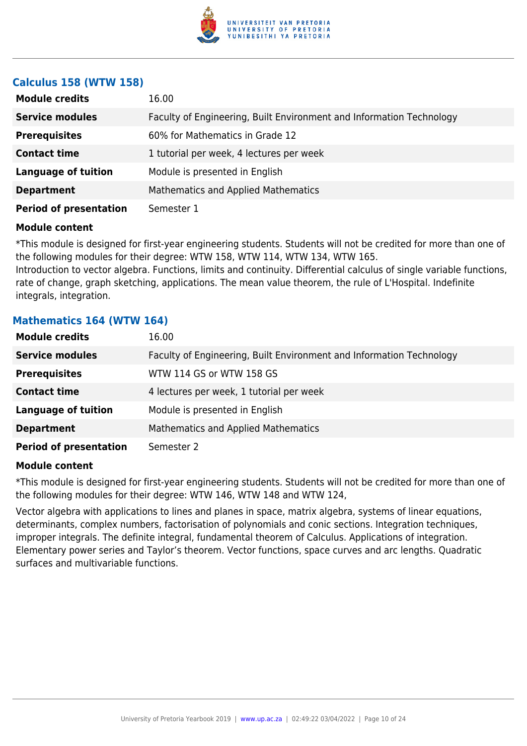

#### **Calculus 158 (WTW 158)**

| <b>Module credits</b>         | 16.00                                                                |
|-------------------------------|----------------------------------------------------------------------|
| <b>Service modules</b>        | Faculty of Engineering, Built Environment and Information Technology |
| <b>Prerequisites</b>          | 60% for Mathematics in Grade 12                                      |
| <b>Contact time</b>           | 1 tutorial per week, 4 lectures per week                             |
| <b>Language of tuition</b>    | Module is presented in English                                       |
| <b>Department</b>             | <b>Mathematics and Applied Mathematics</b>                           |
| <b>Period of presentation</b> | Semester 1                                                           |

#### **Module content**

\*This module is designed for first-year engineering students. Students will not be credited for more than one of the following modules for their degree: WTW 158, WTW 114, WTW 134, WTW 165.

Introduction to vector algebra. Functions, limits and continuity. Differential calculus of single variable functions, rate of change, graph sketching, applications. The mean value theorem, the rule of L'Hospital. Indefinite integrals, integration.

#### **Mathematics 164 (WTW 164)**

| <b>Module credits</b>         | 16.00                                                                |
|-------------------------------|----------------------------------------------------------------------|
| <b>Service modules</b>        | Faculty of Engineering, Built Environment and Information Technology |
| <b>Prerequisites</b>          | WTW 114 GS or WTW 158 GS                                             |
| <b>Contact time</b>           | 4 lectures per week, 1 tutorial per week                             |
| <b>Language of tuition</b>    | Module is presented in English                                       |
| <b>Department</b>             | Mathematics and Applied Mathematics                                  |
| <b>Period of presentation</b> | Semester 2                                                           |

#### **Module content**

\*This module is designed for first-year engineering students. Students will not be credited for more than one of the following modules for their degree: WTW 146, WTW 148 and WTW 124,

Vector algebra with applications to lines and planes in space, matrix algebra, systems of linear equations, determinants, complex numbers, factorisation of polynomials and conic sections. Integration techniques, improper integrals. The definite integral, fundamental theorem of Calculus. Applications of integration. Elementary power series and Taylor's theorem. Vector functions, space curves and arc lengths. Quadratic surfaces and multivariable functions.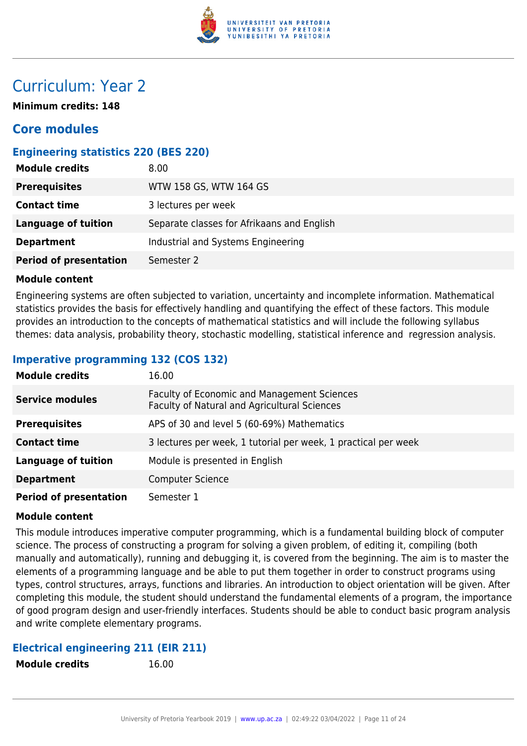

# Curriculum: Year 2

**Minimum credits: 148**

### **Core modules**

#### **Engineering statistics 220 (BES 220)**

| <b>Module credits</b>         | 8.00                                       |
|-------------------------------|--------------------------------------------|
| <b>Prerequisites</b>          | WTW 158 GS, WTW 164 GS                     |
| <b>Contact time</b>           | 3 lectures per week                        |
| <b>Language of tuition</b>    | Separate classes for Afrikaans and English |
| <b>Department</b>             | Industrial and Systems Engineering         |
| <b>Period of presentation</b> | Semester 2                                 |

#### **Module content**

Engineering systems are often subjected to variation, uncertainty and incomplete information. Mathematical statistics provides the basis for effectively handling and quantifying the effect of these factors. This module provides an introduction to the concepts of mathematical statistics and will include the following syllabus themes: data analysis, probability theory, stochastic modelling, statistical inference and regression analysis.

### **Imperative programming 132 (COS 132)**

| <b>Module credits</b>         | 16.00                                                                                              |
|-------------------------------|----------------------------------------------------------------------------------------------------|
| <b>Service modules</b>        | <b>Faculty of Economic and Management Sciences</b><br>Faculty of Natural and Agricultural Sciences |
| <b>Prerequisites</b>          | APS of 30 and level 5 (60-69%) Mathematics                                                         |
| <b>Contact time</b>           | 3 lectures per week, 1 tutorial per week, 1 practical per week                                     |
| <b>Language of tuition</b>    | Module is presented in English                                                                     |
| <b>Department</b>             | <b>Computer Science</b>                                                                            |
| <b>Period of presentation</b> | Semester 1                                                                                         |

#### **Module content**

This module introduces imperative computer programming, which is a fundamental building block of computer science. The process of constructing a program for solving a given problem, of editing it, compiling (both manually and automatically), running and debugging it, is covered from the beginning. The aim is to master the elements of a programming language and be able to put them together in order to construct programs using types, control structures, arrays, functions and libraries. An introduction to object orientation will be given. After completing this module, the student should understand the fundamental elements of a program, the importance of good program design and user-friendly interfaces. Students should be able to conduct basic program analysis and write complete elementary programs.

#### **Electrical engineering 211 (EIR 211)**

**Module credits** 16.00

|  | <b>Module credits</b> |  |
|--|-----------------------|--|
|--|-----------------------|--|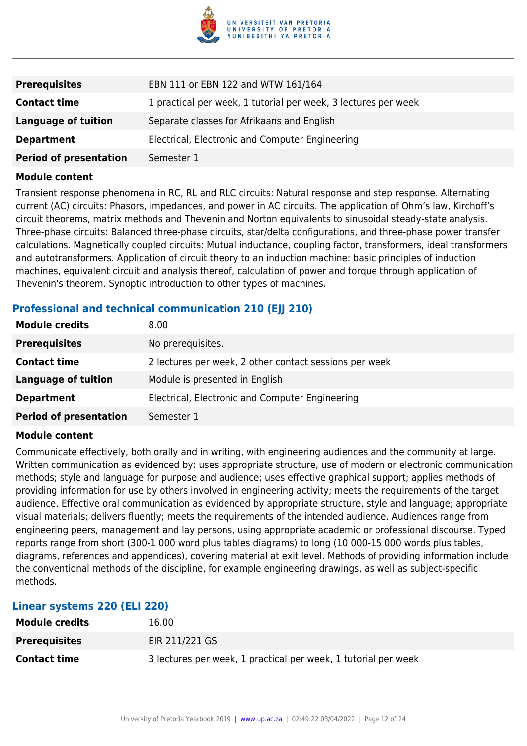

| <b>Prerequisites</b>          | EBN 111 or EBN 122 and WTW 161/164                             |
|-------------------------------|----------------------------------------------------------------|
| <b>Contact time</b>           | 1 practical per week, 1 tutorial per week, 3 lectures per week |
| <b>Language of tuition</b>    | Separate classes for Afrikaans and English                     |
| <b>Department</b>             | Electrical, Electronic and Computer Engineering                |
| <b>Period of presentation</b> | Semester 1                                                     |

Transient response phenomena in RC, RL and RLC circuits: Natural response and step response. Alternating current (AC) circuits: Phasors, impedances, and power in AC circuits. The application of Ohm's law, Kirchoff's circuit theorems, matrix methods and Thevenin and Norton equivalents to sinusoidal steady-state analysis. Three-phase circuits: Balanced three-phase circuits, star/delta configurations, and three-phase power transfer calculations. Magnetically coupled circuits: Mutual inductance, coupling factor, transformers, ideal transformers and autotransformers. Application of circuit theory to an induction machine: basic principles of induction machines, equivalent circuit and analysis thereof, calculation of power and torque through application of Thevenin's theorem. Synoptic introduction to other types of machines.

#### **Professional and technical communication 210 (EII 210)**

| <b>Module credits</b>         | 8.00                                                   |
|-------------------------------|--------------------------------------------------------|
| <b>Prerequisites</b>          | No prerequisites.                                      |
| <b>Contact time</b>           | 2 lectures per week, 2 other contact sessions per week |
| Language of tuition           | Module is presented in English                         |
| <b>Department</b>             | Electrical, Electronic and Computer Engineering        |
| <b>Period of presentation</b> | Semester 1                                             |

#### **Module content**

Communicate effectively, both orally and in writing, with engineering audiences and the community at large. Written communication as evidenced by: uses appropriate structure, use of modern or electronic communication methods; style and language for purpose and audience; uses effective graphical support; applies methods of providing information for use by others involved in engineering activity; meets the requirements of the target audience. Effective oral communication as evidenced by appropriate structure, style and language; appropriate visual materials; delivers fluently; meets the requirements of the intended audience. Audiences range from engineering peers, management and lay persons, using appropriate academic or professional discourse. Typed reports range from short (300-1 000 word plus tables diagrams) to long (10 000-15 000 words plus tables, diagrams, references and appendices), covering material at exit level. Methods of providing information include the conventional methods of the discipline, for example engineering drawings, as well as subject-specific methods.

| Linear systems 220 (ELI 220) |                                                                |
|------------------------------|----------------------------------------------------------------|
| <b>Module credits</b>        | 16.00                                                          |
| <b>Prerequisites</b>         | EIR 211/221 GS                                                 |
| <b>Contact time</b>          | 3 lectures per week, 1 practical per week, 1 tutorial per week |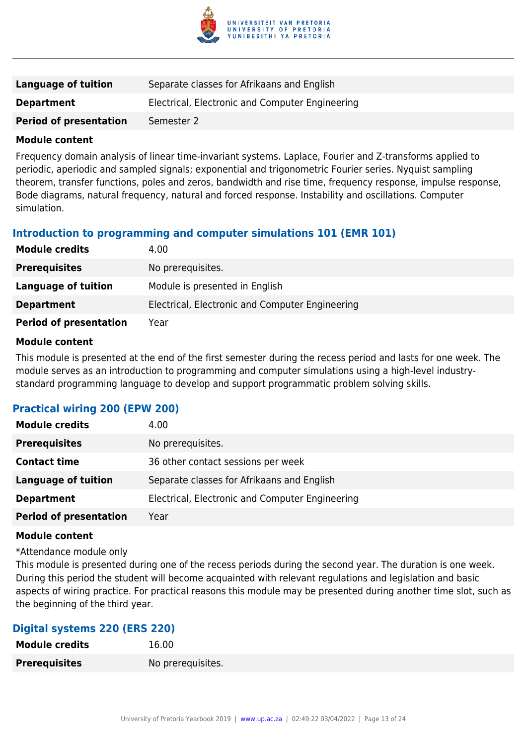

| <b>Language of tuition</b>    | Separate classes for Afrikaans and English      |
|-------------------------------|-------------------------------------------------|
| <b>Department</b>             | Electrical, Electronic and Computer Engineering |
| <b>Period of presentation</b> | Semester 2                                      |

Frequency domain analysis of linear time-invariant systems. Laplace, Fourier and Z-transforms applied to periodic, aperiodic and sampled signals; exponential and trigonometric Fourier series. Nyquist sampling theorem, transfer functions, poles and zeros, bandwidth and rise time, frequency response, impulse response, Bode diagrams, natural frequency, natural and forced response. Instability and oscillations. Computer simulation.

#### **Introduction to programming and computer simulations 101 (EMR 101)**

| <b>Module credits</b>         | 4.00                                            |
|-------------------------------|-------------------------------------------------|
| <b>Prerequisites</b>          | No prerequisites.                               |
| Language of tuition           | Module is presented in English                  |
| <b>Department</b>             | Electrical, Electronic and Computer Engineering |
| <b>Period of presentation</b> | Year                                            |

#### **Module content**

This module is presented at the end of the first semester during the recess period and lasts for one week. The module serves as an introduction to programming and computer simulations using a high-level industrystandard programming language to develop and support programmatic problem solving skills.

#### **Practical wiring 200 (EPW 200)**

| <b>Module credits</b>         | 4.00                                            |
|-------------------------------|-------------------------------------------------|
| <b>Prerequisites</b>          | No prerequisites.                               |
| <b>Contact time</b>           | 36 other contact sessions per week              |
| <b>Language of tuition</b>    | Separate classes for Afrikaans and English      |
| <b>Department</b>             | Electrical, Electronic and Computer Engineering |
| <b>Period of presentation</b> | Year                                            |

#### **Module content**

\*Attendance module only

This module is presented during one of the recess periods during the second year. The duration is one week. During this period the student will become acquainted with relevant regulations and legislation and basic aspects of wiring practice. For practical reasons this module may be presented during another time slot, such as the beginning of the third year.

#### **Digital systems 220 (ERS 220)**

| <b>Module credits</b> | 16.00             |
|-----------------------|-------------------|
| <b>Prerequisites</b>  | No prerequisites. |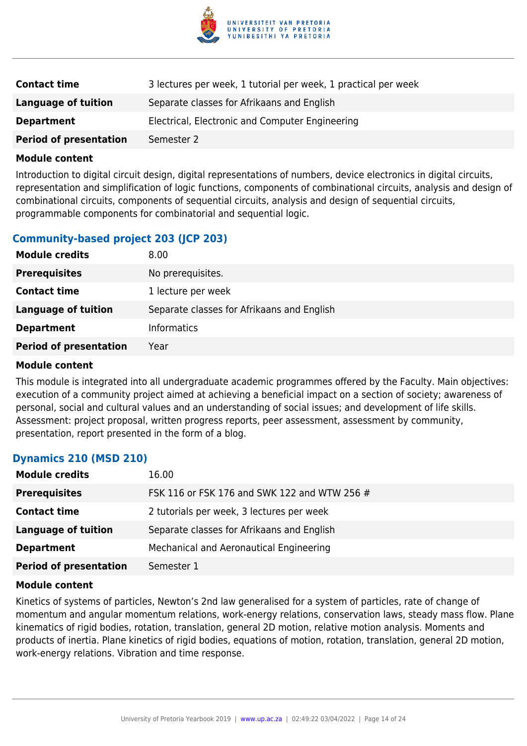

| <b>Contact time</b>           | 3 lectures per week, 1 tutorial per week, 1 practical per week |
|-------------------------------|----------------------------------------------------------------|
| Language of tuition           | Separate classes for Afrikaans and English                     |
| <b>Department</b>             | Electrical, Electronic and Computer Engineering                |
| <b>Period of presentation</b> | Semester 2                                                     |

Introduction to digital circuit design, digital representations of numbers, device electronics in digital circuits, representation and simplification of logic functions, components of combinational circuits, analysis and design of combinational circuits, components of sequential circuits, analysis and design of sequential circuits, programmable components for combinatorial and sequential logic.

#### **Community-based project 203 (JCP 203)**

| <b>Module credits</b>         | 8.00                                       |
|-------------------------------|--------------------------------------------|
| <b>Prerequisites</b>          | No prerequisites.                          |
| <b>Contact time</b>           | 1 lecture per week                         |
| <b>Language of tuition</b>    | Separate classes for Afrikaans and English |
| <b>Department</b>             | <b>Informatics</b>                         |
| <b>Period of presentation</b> | Year                                       |

#### **Module content**

This module is integrated into all undergraduate academic programmes offered by the Faculty. Main objectives: execution of a community project aimed at achieving a beneficial impact on a section of society; awareness of personal, social and cultural values and an understanding of social issues; and development of life skills. Assessment: project proposal, written progress reports, peer assessment, assessment by community, presentation, report presented in the form of a blog.

#### **Dynamics 210 (MSD 210)**

| <b>Module credits</b>         | 16.00                                        |
|-------------------------------|----------------------------------------------|
| <b>Prerequisites</b>          | FSK 116 or FSK 176 and SWK 122 and WTW 256 # |
| <b>Contact time</b>           | 2 tutorials per week, 3 lectures per week    |
| <b>Language of tuition</b>    | Separate classes for Afrikaans and English   |
| <b>Department</b>             | Mechanical and Aeronautical Engineering      |
| <b>Period of presentation</b> | Semester 1                                   |

#### **Module content**

Kinetics of systems of particles, Newton's 2nd law generalised for a system of particles, rate of change of momentum and angular momentum relations, work-energy relations, conservation laws, steady mass flow. Plane kinematics of rigid bodies, rotation, translation, general 2D motion, relative motion analysis. Moments and products of inertia. Plane kinetics of rigid bodies, equations of motion, rotation, translation, general 2D motion, work-energy relations. Vibration and time response.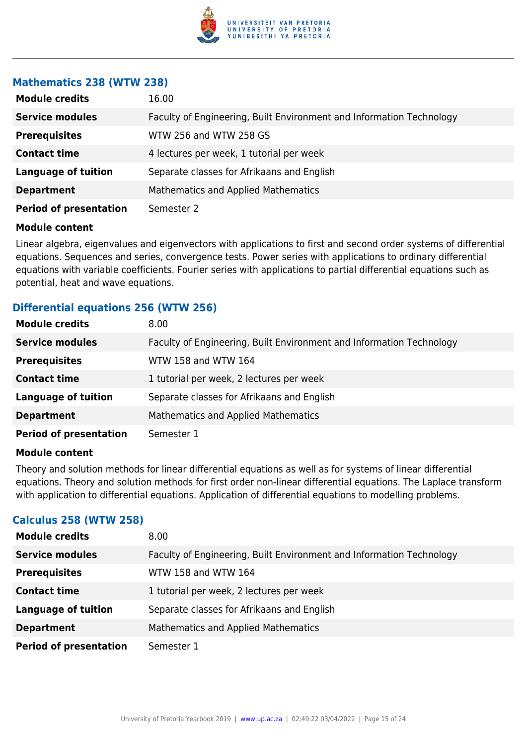

#### **Mathematics 238 (WTW 238)**

| <b>Module credits</b>         | 16.00                                                                |
|-------------------------------|----------------------------------------------------------------------|
| <b>Service modules</b>        | Faculty of Engineering, Built Environment and Information Technology |
| <b>Prerequisites</b>          | WTW 256 and WTW 258 GS                                               |
| <b>Contact time</b>           | 4 lectures per week, 1 tutorial per week                             |
| <b>Language of tuition</b>    | Separate classes for Afrikaans and English                           |
| <b>Department</b>             | <b>Mathematics and Applied Mathematics</b>                           |
| <b>Period of presentation</b> | Semester 2                                                           |

#### **Module content**

Linear algebra, eigenvalues and eigenvectors with applications to first and second order systems of differential equations. Sequences and series, convergence tests. Power series with applications to ordinary differential equations with variable coefficients. Fourier series with applications to partial differential equations such as potential, heat and wave equations.

#### **Differential equations 256 (WTW 256)**

| <b>Module credits</b>         | 8.00                                                                 |
|-------------------------------|----------------------------------------------------------------------|
| <b>Service modules</b>        | Faculty of Engineering, Built Environment and Information Technology |
| <b>Prerequisites</b>          | WTW 158 and WTW 164                                                  |
| <b>Contact time</b>           | 1 tutorial per week, 2 lectures per week                             |
| <b>Language of tuition</b>    | Separate classes for Afrikaans and English                           |
| <b>Department</b>             | Mathematics and Applied Mathematics                                  |
| <b>Period of presentation</b> | Semester 1                                                           |

#### **Module content**

Theory and solution methods for linear differential equations as well as for systems of linear differential equations. Theory and solution methods for first order non-linear differential equations. The Laplace transform with application to differential equations. Application of differential equations to modelling problems.

#### **Calculus 258 (WTW 258)**

| <b>Module credits</b>         | 8.00                                                                 |
|-------------------------------|----------------------------------------------------------------------|
| <b>Service modules</b>        | Faculty of Engineering, Built Environment and Information Technology |
| <b>Prerequisites</b>          | WTW 158 and WTW 164                                                  |
| <b>Contact time</b>           | 1 tutorial per week, 2 lectures per week                             |
| <b>Language of tuition</b>    | Separate classes for Afrikaans and English                           |
| <b>Department</b>             | <b>Mathematics and Applied Mathematics</b>                           |
| <b>Period of presentation</b> | Semester 1                                                           |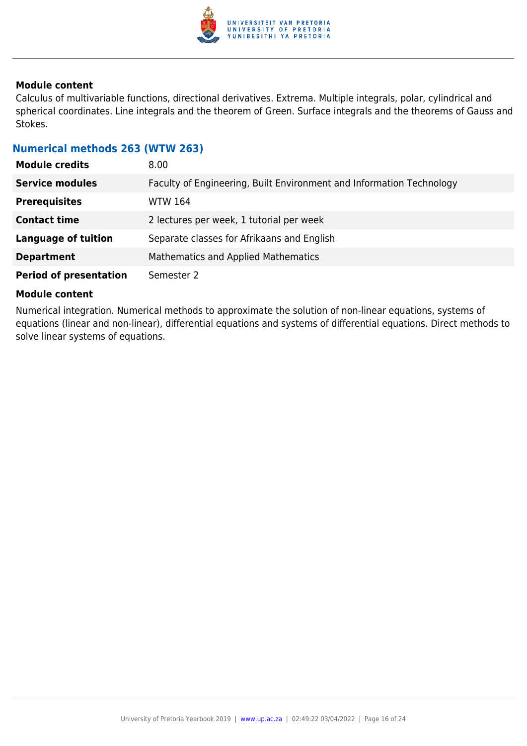

Calculus of multivariable functions, directional derivatives. Extrema. Multiple integrals, polar, cylindrical and spherical coordinates. Line integrals and the theorem of Green. Surface integrals and the theorems of Gauss and Stokes.

#### **Numerical methods 263 (WTW 263)**

| <b>Module credits</b>         | 8.00 <sub>1</sub>                                                    |
|-------------------------------|----------------------------------------------------------------------|
| <b>Service modules</b>        | Faculty of Engineering, Built Environment and Information Technology |
| <b>Prerequisites</b>          | <b>WTW 164</b>                                                       |
| <b>Contact time</b>           | 2 lectures per week, 1 tutorial per week                             |
| <b>Language of tuition</b>    | Separate classes for Afrikaans and English                           |
| <b>Department</b>             | <b>Mathematics and Applied Mathematics</b>                           |
| <b>Period of presentation</b> | Semester 2                                                           |

#### **Module content**

Numerical integration. Numerical methods to approximate the solution of non-linear equations, systems of equations (linear and non-linear), differential equations and systems of differential equations. Direct methods to solve linear systems of equations.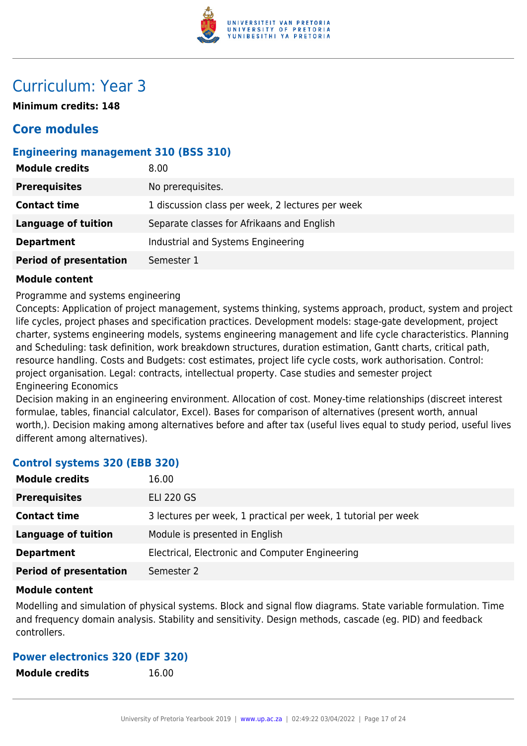

# Curriculum: Year 3

**Minimum credits: 148**

### **Core modules**

#### **Engineering management 310 (BSS 310)**

| <b>Module credits</b>         | 8.00                                             |
|-------------------------------|--------------------------------------------------|
| <b>Prerequisites</b>          | No prerequisites.                                |
| <b>Contact time</b>           | 1 discussion class per week, 2 lectures per week |
| <b>Language of tuition</b>    | Separate classes for Afrikaans and English       |
| <b>Department</b>             | Industrial and Systems Engineering               |
| <b>Period of presentation</b> | Semester 1                                       |

#### **Module content**

Programme and systems engineering

Concepts: Application of project management, systems thinking, systems approach, product, system and project life cycles, project phases and specification practices. Development models: stage-gate development, project charter, systems engineering models, systems engineering management and life cycle characteristics. Planning and Scheduling: task definition, work breakdown structures, duration estimation, Gantt charts, critical path, resource handling. Costs and Budgets: cost estimates, project life cycle costs, work authorisation. Control: project organisation. Legal: contracts, intellectual property. Case studies and semester project Engineering Economics

Decision making in an engineering environment. Allocation of cost. Money-time relationships (discreet interest formulae, tables, financial calculator, Excel). Bases for comparison of alternatives (present worth, annual worth,). Decision making among alternatives before and after tax (useful lives equal to study period, useful lives different among alternatives).

#### **Control systems 320 (EBB 320)**

| <b>Module credits</b>         | 16.00                                                          |
|-------------------------------|----------------------------------------------------------------|
| <b>Prerequisites</b>          | <b>ELI 220 GS</b>                                              |
| <b>Contact time</b>           | 3 lectures per week, 1 practical per week, 1 tutorial per week |
| <b>Language of tuition</b>    | Module is presented in English                                 |
| <b>Department</b>             | Electrical, Electronic and Computer Engineering                |
| <b>Period of presentation</b> | Semester 2                                                     |

#### **Module content**

Modelling and simulation of physical systems. Block and signal flow diagrams. State variable formulation. Time and frequency domain analysis. Stability and sensitivity. Design methods, cascade (eg. PID) and feedback controllers.

#### **Power electronics 320 (EDF 320)**

**Module credits** 16.00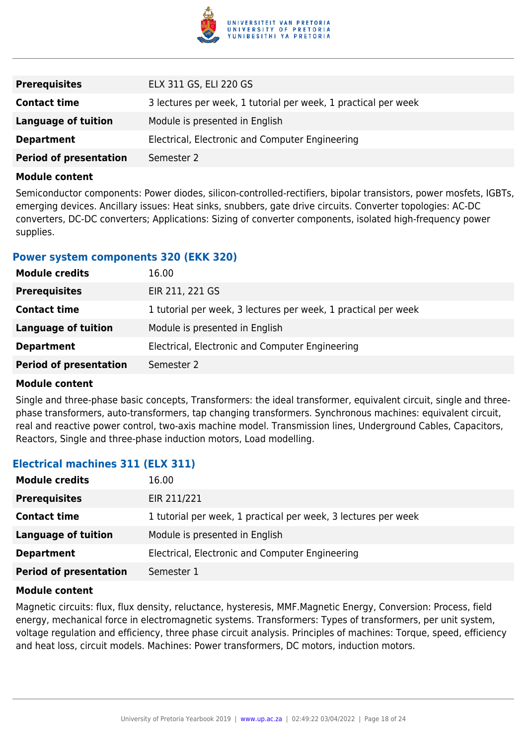

| <b>Prerequisites</b>          | ELX 311 GS, ELI 220 GS                                         |
|-------------------------------|----------------------------------------------------------------|
| <b>Contact time</b>           | 3 lectures per week, 1 tutorial per week, 1 practical per week |
| Language of tuition           | Module is presented in English                                 |
| <b>Department</b>             | Electrical, Electronic and Computer Engineering                |
| <b>Period of presentation</b> | Semester 2                                                     |

Semiconductor components: Power diodes, silicon-controlled-rectifiers, bipolar transistors, power mosfets, IGBTs, emerging devices. Ancillary issues: Heat sinks, snubbers, gate drive circuits. Converter topologies: AC-DC converters, DC-DC converters; Applications: Sizing of converter components, isolated high-frequency power supplies.

#### **Power system components 320 (EKK 320)**

| <b>Module credits</b>         | 16.00                                                          |
|-------------------------------|----------------------------------------------------------------|
| <b>Prerequisites</b>          | EIR 211, 221 GS                                                |
| <b>Contact time</b>           | 1 tutorial per week, 3 lectures per week, 1 practical per week |
| <b>Language of tuition</b>    | Module is presented in English                                 |
| <b>Department</b>             | Electrical, Electronic and Computer Engineering                |
| <b>Period of presentation</b> | Semester 2                                                     |

#### **Module content**

Single and three-phase basic concepts, Transformers: the ideal transformer, equivalent circuit, single and threephase transformers, auto-transformers, tap changing transformers. Synchronous machines: equivalent circuit, real and reactive power control, two-axis machine model. Transmission lines, Underground Cables, Capacitors, Reactors, Single and three-phase induction motors, Load modelling.

#### **Electrical machines 311 (ELX 311)**

| <b>Module credits</b>         | 16.00                                                          |
|-------------------------------|----------------------------------------------------------------|
| <b>Prerequisites</b>          | EIR 211/221                                                    |
| <b>Contact time</b>           | 1 tutorial per week, 1 practical per week, 3 lectures per week |
| Language of tuition           | Module is presented in English                                 |
| <b>Department</b>             | Electrical, Electronic and Computer Engineering                |
| <b>Period of presentation</b> | Semester 1                                                     |

#### **Module content**

Magnetic circuits: flux, flux density, reluctance, hysteresis, MMF.Magnetic Energy, Conversion: Process, field energy, mechanical force in electromagnetic systems. Transformers: Types of transformers, per unit system, voltage regulation and efficiency, three phase circuit analysis. Principles of machines: Torque, speed, efficiency and heat loss, circuit models. Machines: Power transformers, DC motors, induction motors.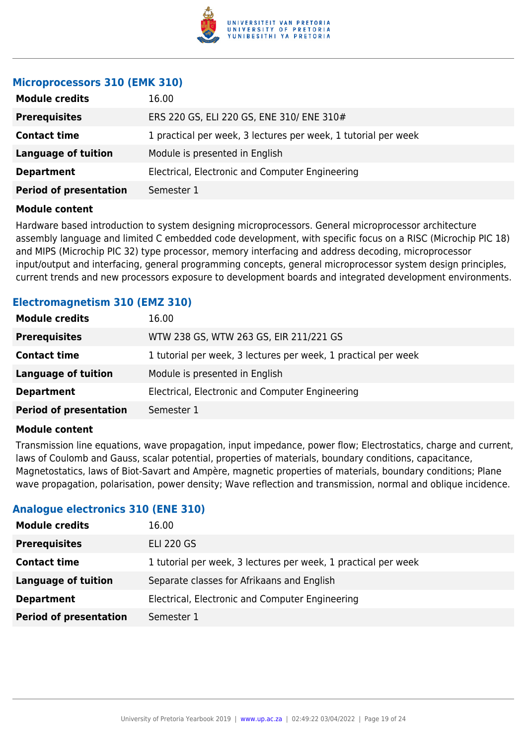

#### **Microprocessors 310 (EMK 310)**

| <b>Module credits</b>         | 16.00                                                          |
|-------------------------------|----------------------------------------------------------------|
| <b>Prerequisites</b>          | ERS 220 GS, ELI 220 GS, ENE 310/ ENE 310#                      |
| <b>Contact time</b>           | 1 practical per week, 3 lectures per week, 1 tutorial per week |
| <b>Language of tuition</b>    | Module is presented in English                                 |
| <b>Department</b>             | Electrical, Electronic and Computer Engineering                |
| <b>Period of presentation</b> | Semester 1                                                     |
|                               |                                                                |

#### **Module content**

Hardware based introduction to system designing microprocessors. General microprocessor architecture assembly language and limited C embedded code development, with specific focus on a RISC (Microchip PIC 18) and MIPS (Microchip PIC 32) type processor, memory interfacing and address decoding, microprocessor input/output and interfacing, general programming concepts, general microprocessor system design principles, current trends and new processors exposure to development boards and integrated development environments.

#### **Electromagnetism 310 (EMZ 310)**

| <b>Module credits</b>         | 16.00                                                          |
|-------------------------------|----------------------------------------------------------------|
| <b>Prerequisites</b>          | WTW 238 GS, WTW 263 GS, EIR 211/221 GS                         |
| <b>Contact time</b>           | 1 tutorial per week, 3 lectures per week, 1 practical per week |
| Language of tuition           | Module is presented in English                                 |
| <b>Department</b>             | Electrical, Electronic and Computer Engineering                |
| <b>Period of presentation</b> | Semester 1                                                     |

#### **Module content**

Transmission line equations, wave propagation, input impedance, power flow; Electrostatics, charge and current, laws of Coulomb and Gauss, scalar potential, properties of materials, boundary conditions, capacitance, Magnetostatics, laws of Biot-Savart and Ampère, magnetic properties of materials, boundary conditions; Plane wave propagation, polarisation, power density; Wave reflection and transmission, normal and oblique incidence.

#### **Analogue electronics 310 (ENE 310)**

| <b>Module credits</b>         | 16.00                                                          |
|-------------------------------|----------------------------------------------------------------|
| <b>Prerequisites</b>          | <b>ELI 220 GS</b>                                              |
| <b>Contact time</b>           | 1 tutorial per week, 3 lectures per week, 1 practical per week |
| <b>Language of tuition</b>    | Separate classes for Afrikaans and English                     |
| <b>Department</b>             | Electrical, Electronic and Computer Engineering                |
| <b>Period of presentation</b> | Semester 1                                                     |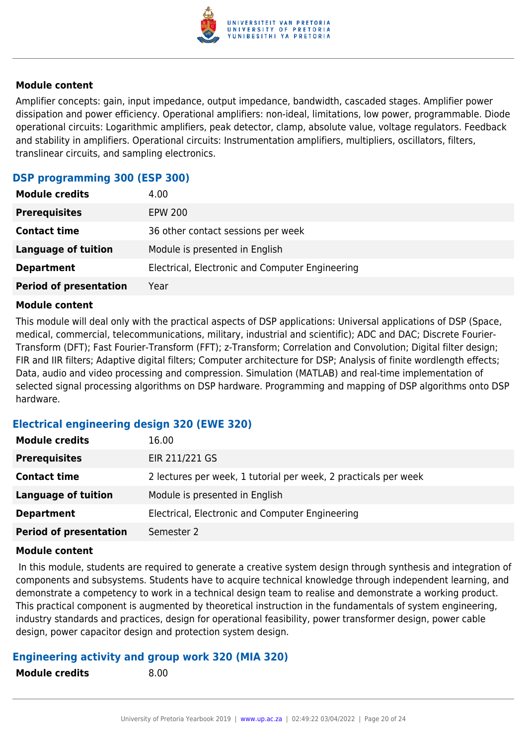

Amplifier concepts: gain, input impedance, output impedance, bandwidth, cascaded stages. Amplifier power dissipation and power efficiency. Operational amplifiers: non-ideal, limitations, low power, programmable. Diode operational circuits: Logarithmic amplifiers, peak detector, clamp, absolute value, voltage regulators. Feedback and stability in amplifiers. Operational circuits: Instrumentation amplifiers, multipliers, oscillators, filters, translinear circuits, and sampling electronics.

#### **DSP programming 300 (ESP 300)**

| <b>Module credits</b>         | 4.00                                            |
|-------------------------------|-------------------------------------------------|
| <b>Prerequisites</b>          | <b>EPW 200</b>                                  |
| <b>Contact time</b>           | 36 other contact sessions per week              |
| <b>Language of tuition</b>    | Module is presented in English                  |
| <b>Department</b>             | Electrical, Electronic and Computer Engineering |
| <b>Period of presentation</b> | Year                                            |

#### **Module content**

This module will deal only with the practical aspects of DSP applications: Universal applications of DSP (Space, medical, commercial, telecommunications, military, industrial and scientific); ADC and DAC; Discrete Fourier-Transform (DFT); Fast Fourier-Transform (FFT); z-Transform; Correlation and Convolution; Digital filter design; FIR and IIR filters; Adaptive digital filters; Computer architecture for DSP; Analysis of finite wordlength effects; Data, audio and video processing and compression. Simulation (MATLAB) and real-time implementation of selected signal processing algorithms on DSP hardware. Programming and mapping of DSP algorithms onto DSP hardware.

#### **Electrical engineering design 320 (EWE 320)**

| <b>Module credits</b>         | 16.00                                                           |
|-------------------------------|-----------------------------------------------------------------|
| <b>Prerequisites</b>          | EIR 211/221 GS                                                  |
| <b>Contact time</b>           | 2 lectures per week, 1 tutorial per week, 2 practicals per week |
| Language of tuition           | Module is presented in English                                  |
| <b>Department</b>             | Electrical, Electronic and Computer Engineering                 |
| <b>Period of presentation</b> | Semester 2                                                      |

#### **Module content**

 In this module, students are required to generate a creative system design through synthesis and integration of components and subsystems. Students have to acquire technical knowledge through independent learning, and demonstrate a competency to work in a technical design team to realise and demonstrate a working product. This practical component is augmented by theoretical instruction in the fundamentals of system engineering, industry standards and practices, design for operational feasibility, power transformer design, power cable design, power capacitor design and protection system design.

#### **Engineering activity and group work 320 (MIA 320)**

**Module credits** 8.00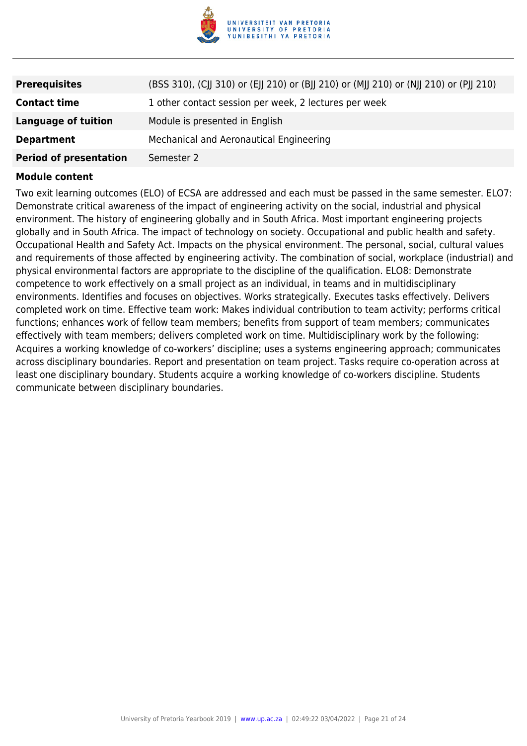

| <b>Prerequisites</b>          | (BSS 310), (CJJ 310) or (EJJ 210) or (BJJ 210) or (MJJ 210) or (NJJ 210) or (PJJ 210) |
|-------------------------------|---------------------------------------------------------------------------------------|
| <b>Contact time</b>           | 1 other contact session per week, 2 lectures per week                                 |
| <b>Language of tuition</b>    | Module is presented in English                                                        |
| <b>Department</b>             | Mechanical and Aeronautical Engineering                                               |
| <b>Period of presentation</b> | Semester 2                                                                            |

Two exit learning outcomes (ELO) of ECSA are addressed and each must be passed in the same semester. ELO7: Demonstrate critical awareness of the impact of engineering activity on the social, industrial and physical environment. The history of engineering globally and in South Africa. Most important engineering projects globally and in South Africa. The impact of technology on society. Occupational and public health and safety. Occupational Health and Safety Act. Impacts on the physical environment. The personal, social, cultural values and requirements of those affected by engineering activity. The combination of social, workplace (industrial) and physical environmental factors are appropriate to the discipline of the qualification. ELO8: Demonstrate competence to work effectively on a small project as an individual, in teams and in multidisciplinary environments. Identifies and focuses on objectives. Works strategically. Executes tasks effectively. Delivers completed work on time. Effective team work: Makes individual contribution to team activity; performs critical functions; enhances work of fellow team members; benefits from support of team members; communicates effectively with team members; delivers completed work on time. Multidisciplinary work by the following: Acquires a working knowledge of co-workers' discipline; uses a systems engineering approach; communicates across disciplinary boundaries. Report and presentation on team project. Tasks require co-operation across at least one disciplinary boundary. Students acquire a working knowledge of co-workers discipline. Students communicate between disciplinary boundaries.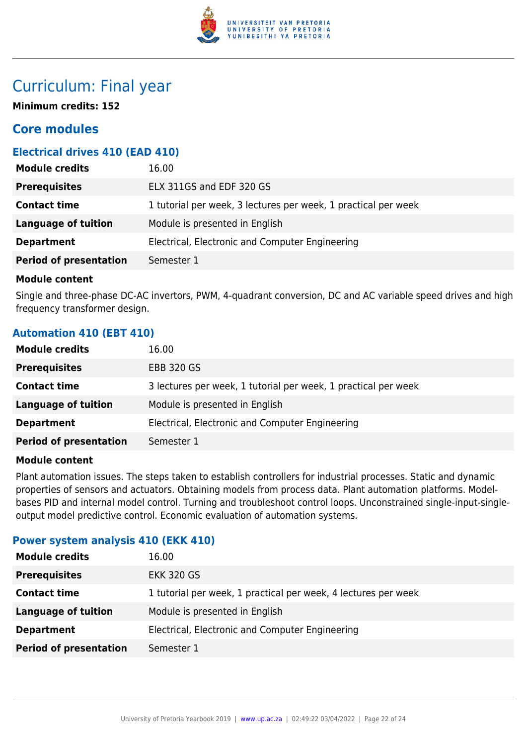

## Curriculum: Final year

**Minimum credits: 152**

### **Core modules**

#### **Electrical drives 410 (EAD 410)**

| 1 tutorial per week, 3 lectures per week, 1 practical per week |
|----------------------------------------------------------------|
|                                                                |
| Electrical, Electronic and Computer Engineering                |
|                                                                |
|                                                                |

#### **Module content**

Single and three-phase DC-AC invertors, PWM, 4-quadrant conversion, DC and AC variable speed drives and high frequency transformer design.

#### **Automation 410 (EBT 410)**

| <b>Module credits</b>         | 16.00                                                          |
|-------------------------------|----------------------------------------------------------------|
| <b>Prerequisites</b>          | <b>EBB 320 GS</b>                                              |
| <b>Contact time</b>           | 3 lectures per week, 1 tutorial per week, 1 practical per week |
| <b>Language of tuition</b>    | Module is presented in English                                 |
| <b>Department</b>             | Electrical, Electronic and Computer Engineering                |
| <b>Period of presentation</b> | Semester 1                                                     |

#### **Module content**

Plant automation issues. The steps taken to establish controllers for industrial processes. Static and dynamic properties of sensors and actuators. Obtaining models from process data. Plant automation platforms. Modelbases PID and internal model control. Turning and troubleshoot control loops. Unconstrained single-input-singleoutput model predictive control. Economic evaluation of automation systems.

#### **Power system analysis 410 (EKK 410)**

| <b>Module credits</b>         | 16.00                                                          |
|-------------------------------|----------------------------------------------------------------|
| <b>Prerequisites</b>          | <b>EKK 320 GS</b>                                              |
| <b>Contact time</b>           | 1 tutorial per week, 1 practical per week, 4 lectures per week |
| Language of tuition           | Module is presented in English                                 |
| <b>Department</b>             | Electrical, Electronic and Computer Engineering                |
| <b>Period of presentation</b> | Semester 1                                                     |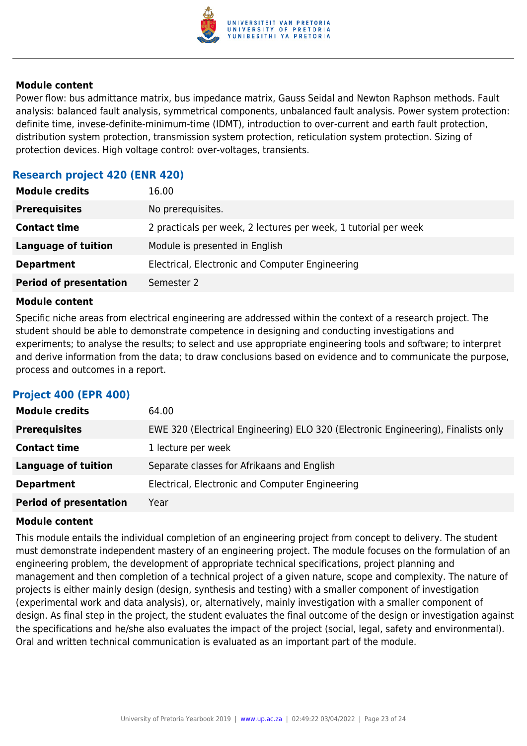

Power flow: bus admittance matrix, bus impedance matrix, Gauss Seidal and Newton Raphson methods. Fault analysis: balanced fault analysis, symmetrical components, unbalanced fault analysis. Power system protection: definite time, invese-definite-minimum-time (IDMT), introduction to over-current and earth fault protection, distribution system protection, transmission system protection, reticulation system protection. Sizing of protection devices. High voltage control: over-voltages, transients.

#### **Research project 420 (ENR 420)**

| <b>Module credits</b>         | 16.00                                                           |
|-------------------------------|-----------------------------------------------------------------|
| <b>Prerequisites</b>          | No prerequisites.                                               |
| <b>Contact time</b>           | 2 practicals per week, 2 lectures per week, 1 tutorial per week |
| Language of tuition           | Module is presented in English                                  |
| <b>Department</b>             | Electrical, Electronic and Computer Engineering                 |
| <b>Period of presentation</b> | Semester 2                                                      |

#### **Module content**

Specific niche areas from electrical engineering are addressed within the context of a research project. The student should be able to demonstrate competence in designing and conducting investigations and experiments; to analyse the results; to select and use appropriate engineering tools and software; to interpret and derive information from the data; to draw conclusions based on evidence and to communicate the purpose, process and outcomes in a report.

#### **Project 400 (EPR 400)**

| <b>Module credits</b>         | 64.00                                                                             |
|-------------------------------|-----------------------------------------------------------------------------------|
| <b>Prerequisites</b>          | EWE 320 (Electrical Engineering) ELO 320 (Electronic Engineering), Finalists only |
| <b>Contact time</b>           | 1 lecture per week                                                                |
| <b>Language of tuition</b>    | Separate classes for Afrikaans and English                                        |
| <b>Department</b>             | Electrical, Electronic and Computer Engineering                                   |
| <b>Period of presentation</b> | Year                                                                              |

#### **Module content**

This module entails the individual completion of an engineering project from concept to delivery. The student must demonstrate independent mastery of an engineering project. The module focuses on the formulation of an engineering problem, the development of appropriate technical specifications, project planning and management and then completion of a technical project of a given nature, scope and complexity. The nature of projects is either mainly design (design, synthesis and testing) with a smaller component of investigation (experimental work and data analysis), or, alternatively, mainly investigation with a smaller component of design. As final step in the project, the student evaluates the final outcome of the design or investigation against the specifications and he/she also evaluates the impact of the project (social, legal, safety and environmental). Oral and written technical communication is evaluated as an important part of the module.